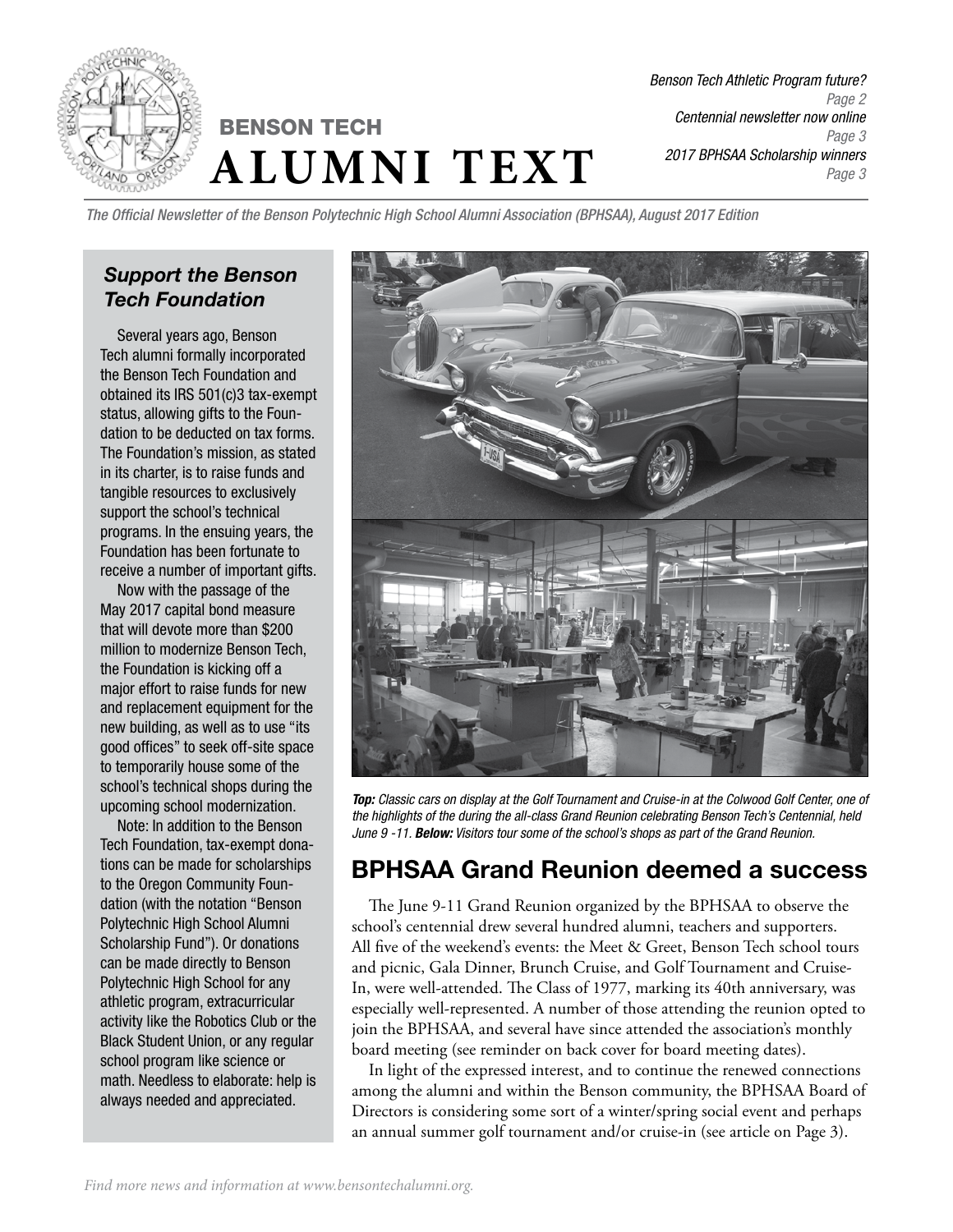

*Benson Tech Athletic Program future? Page 2 Centennial newsletter now online Page 3 2017 BPHSAA Scholarship winners Page 3*

*The Official Newsletter of the Benson Polytechnic High School Alumni Association (BPHSAA), August 2017 Edition*

### *Support the Benson Tech Foundation*

Several years ago, Benson Tech alumni formally incorporated the Benson Tech Foundation and obtained its IRS 501(c)3 tax-exempt status, allowing gifts to the Foundation to be deducted on tax forms. The Foundation's mission, as stated in its charter, is to raise funds and tangible resources to exclusively support the school's technical programs. In the ensuing years, the Foundation has been fortunate to receive a number of important gifts.

Now with the passage of the May 2017 capital bond measure that will devote more than \$200 million to modernize Benson Tech, the Foundation is kicking off a major effort to raise funds for new and replacement equipment for the new building, as well as to use "its good offices" to seek off-site space to temporarily house some of the school's technical shops during the upcoming school modernization.

Note: In addition to the Benson Tech Foundation, tax-exempt donations can be made for scholarships to the Oregon Community Foundation (with the notation "Benson Polytechnic High School Alumni Scholarship Fund"). Or donations can be made directly to Benson Polytechnic High School for any athletic program, extracurricular activity like the Robotics Club or the Black Student Union, or any regular school program like science or math. Needless to elaborate: help is always needed and appreciated.



*Top: Classic cars on display at the Golf Tournament and Cruise-in at the Colwood Golf Center, one of the highlights of the during the all-class Grand Reunion celebrating Benson Tech's Centennial, held June 9 -11. Below: Visitors tour some of the school's shops as part of the Grand Reunion.*

## BPHSAA Grand Reunion deemed a success

The June 9-11 Grand Reunion organized by the BPHSAA to observe the school's centennial drew several hundred alumni, teachers and supporters. All five of the weekend's events: the Meet & Greet, Benson Tech school tours and picnic, Gala Dinner, Brunch Cruise, and Golf Tournament and Cruise-In, were well-attended. The Class of 1977, marking its 40th anniversary, was especially well-represented. A number of those attending the reunion opted to join the BPHSAA, and several have since attended the association's monthly board meeting (see reminder on back cover for board meeting dates).

In light of the expressed interest, and to continue the renewed connections among the alumni and within the Benson community, the BPHSAA Board of Directors is considering some sort of a winter/spring social event and perhaps an annual summer golf tournament and/or cruise-in (see article on Page 3).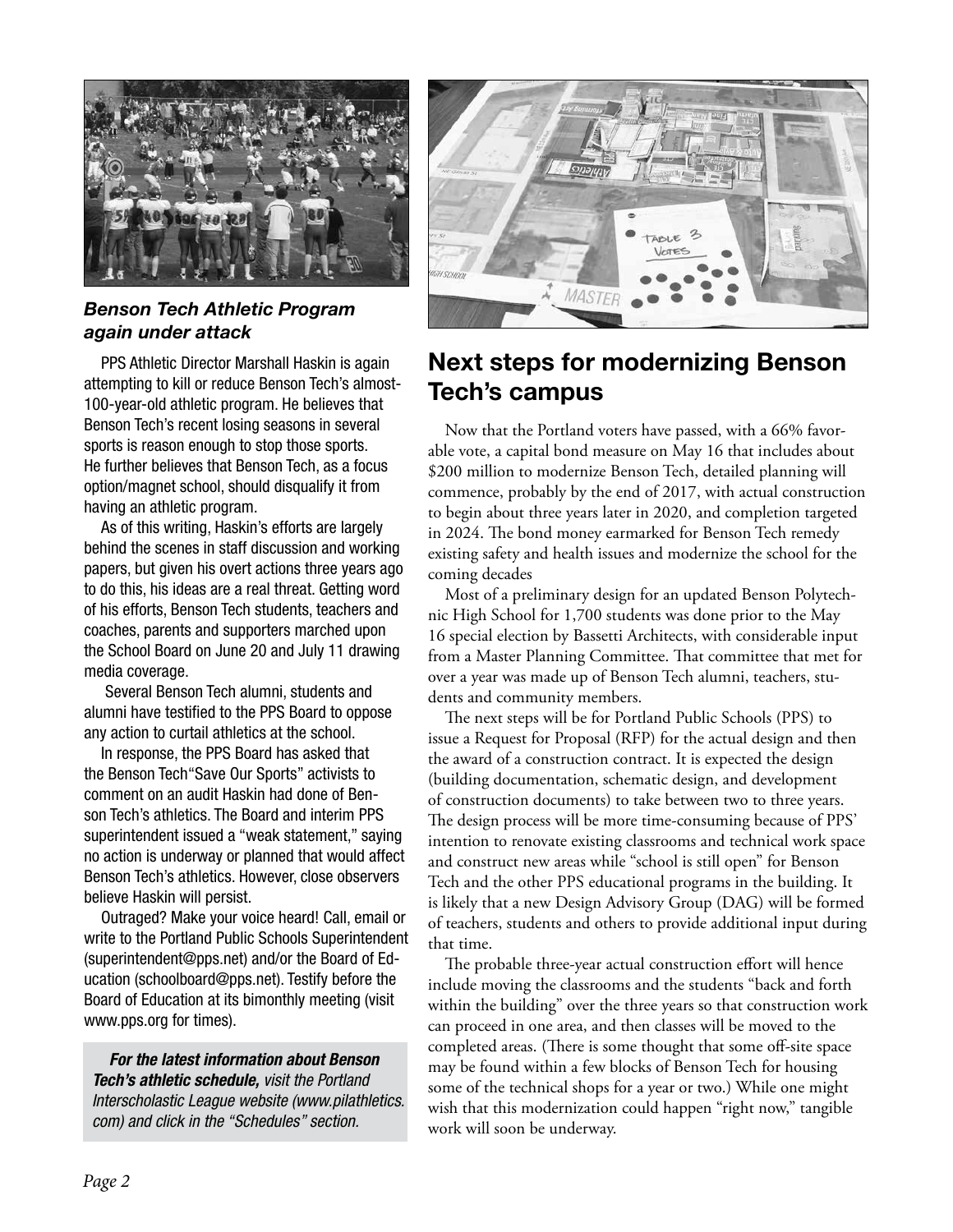

#### *Benson Tech Athletic Program again under attack*

PPS Athletic Director Marshall Haskin is again attempting to kill or reduce Benson Tech's almost-100-year-old athletic program. He believes that Benson Tech's recent losing seasons in several sports is reason enough to stop those sports. He further believes that Benson Tech, as a focus option/magnet school, should disqualify it from having an athletic program.

As of this writing, Haskin's efforts are largely behind the scenes in staff discussion and working papers, but given his overt actions three years ago to do this, his ideas are a real threat. Getting word of his efforts, Benson Tech students, teachers and coaches, parents and supporters marched upon the School Board on June 20 and July 11 drawing media coverage.

 Several Benson Tech alumni, students and alumni have testified to the PPS Board to oppose any action to curtail athletics at the school.

In response, the PPS Board has asked that the Benson Tech"Save Our Sports" activists to comment on an audit Haskin had done of Benson Tech's athletics. The Board and interim PPS superintendent issued a "weak statement," saying no action is underway or planned that would affect Benson Tech's athletics. However, close observers believe Haskin will persist.

Outraged? Make your voice heard! Call, email or write to the Portland Public Schools Superintendent (superintendent@pps.net) and/or the Board of Education (schoolboard@pps.net). Testify before the Board of Education at its bimonthly meeting (visit www.pps.org for times).

*For the latest information about Benson Tech's athletic schedule, visit the Portland Interscholastic League website (www.pilathletics. com) and click in the "Schedules" section.*



# Next steps for modernizing Benson Tech's campus

Now that the Portland voters have passed, with a 66% favorable vote, a capital bond measure on May 16 that includes about \$200 million to modernize Benson Tech, detailed planning will commence, probably by the end of 2017, with actual construction to begin about three years later in 2020, and completion targeted in 2024. The bond money earmarked for Benson Tech remedy existing safety and health issues and modernize the school for the coming decades

Most of a preliminary design for an updated Benson Polytechnic High School for 1,700 students was done prior to the May 16 special election by Bassetti Architects, with considerable input from a Master Planning Committee. That committee that met for over a year was made up of Benson Tech alumni, teachers, students and community members.

The next steps will be for Portland Public Schools (PPS) to issue a Request for Proposal (RFP) for the actual design and then the award of a construction contract. It is expected the design (building documentation, schematic design, and development of construction documents) to take between two to three years. The design process will be more time-consuming because of PPS' intention to renovate existing classrooms and technical work space and construct new areas while "school is still open" for Benson Tech and the other PPS educational programs in the building. It is likely that a new Design Advisory Group (DAG) will be formed of teachers, students and others to provide additional input during that time.

The probable three-year actual construction effort will hence include moving the classrooms and the students "back and forth within the building" over the three years so that construction work can proceed in one area, and then classes will be moved to the completed areas. (There is some thought that some off-site space may be found within a few blocks of Benson Tech for housing some of the technical shops for a year or two.) While one might wish that this modernization could happen "right now," tangible work will soon be underway.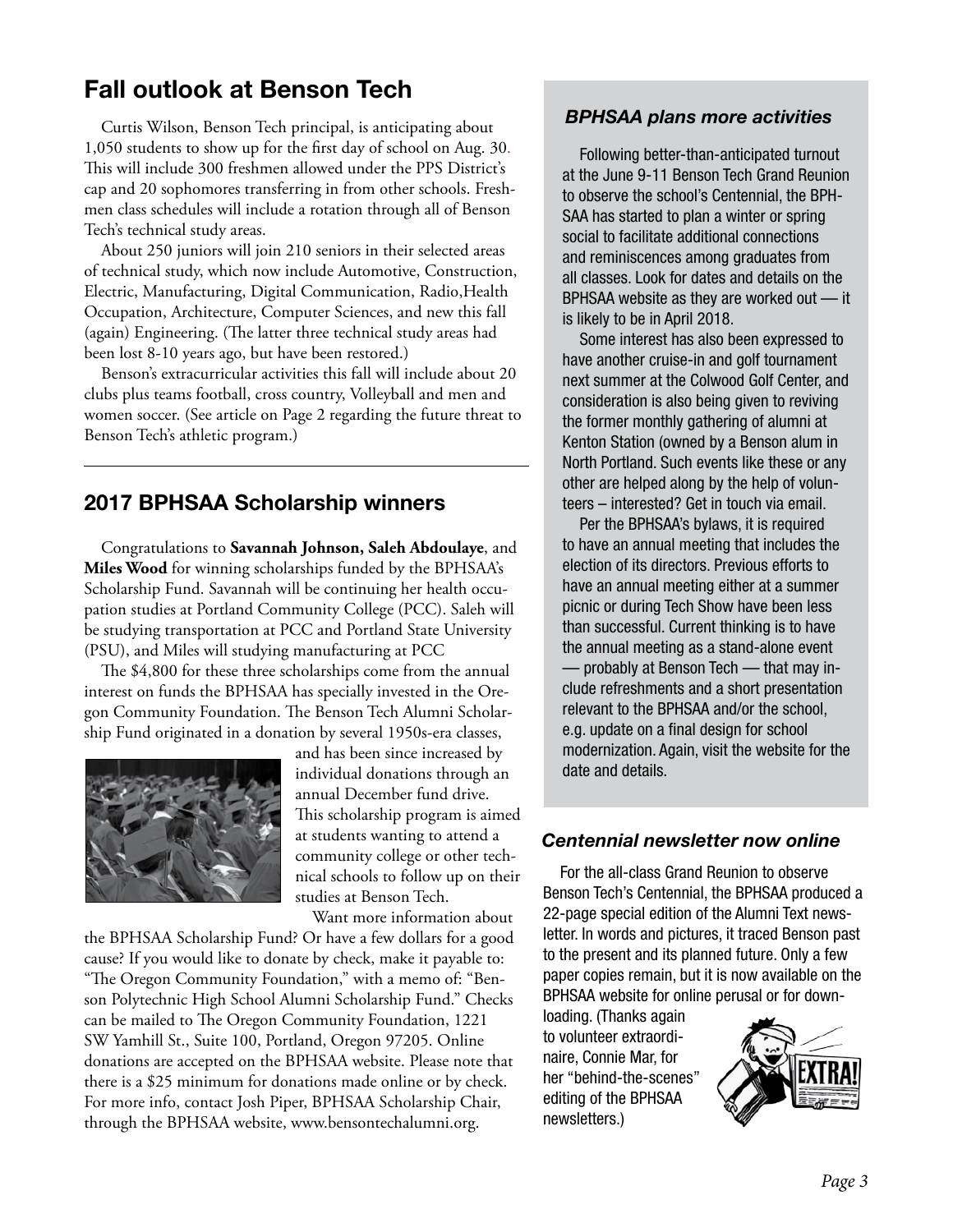## Fall outlook at Benson Tech

Curtis Wilson, Benson Tech principal, is anticipating about 1,050 students to show up for the first day of school on Aug. 30. This will include 300 freshmen allowed under the PPS District's cap and 20 sophomores transferring in from other schools. Freshmen class schedules will include a rotation through all of Benson Tech's technical study areas.

About 250 juniors will join 210 seniors in their selected areas of technical study, which now include Automotive, Construction, Electric, Manufacturing, Digital Communication, Radio,Health Occupation, Architecture, Computer Sciences, and new this fall (again) Engineering. (The latter three technical study areas had been lost 8-10 years ago, but have been restored.)

Benson's extracurricular activities this fall will include about 20 clubs plus teams football, cross country, Volleyball and men and women soccer. (See article on Page 2 regarding the future threat to Benson Tech's athletic program.)

### 2017 BPHSAA Scholarship winners

Congratulations to **Savannah Johnson, Saleh Abdoulaye**, and **Miles Wood** for winning scholarships funded by the BPHSAA's Scholarship Fund. Savannah will be continuing her health occupation studies at Portland Community College (PCC). Saleh will be studying transportation at PCC and Portland State University (PSU), and Miles will studying manufacturing at PCC

The \$4,800 for these three scholarships come from the annual interest on funds the BPHSAA has specially invested in the Oregon Community Foundation. The Benson Tech Alumni Scholarship Fund originated in a donation by several 1950s-era classes,



and has been since increased by individual donations through an annual December fund drive. This scholarship program is aimed at students wanting to attend a community college or other technical schools to follow up on their studies at Benson Tech.

Want more information about

the BPHSAA Scholarship Fund? Or have a few dollars for a good cause? If you would like to donate by check, make it payable to: "The Oregon Community Foundation," with a memo of: "Benson Polytechnic High School Alumni Scholarship Fund." Checks can be mailed to The Oregon Community Foundation, 1221 SW Yamhill St., Suite 100, Portland, Oregon 97205. Online donations are accepted on the BPHSAA website. Please note that there is a \$25 minimum for donations made online or by check. For more info, contact Josh Piper, BPHSAA Scholarship Chair, through the BPHSAA website, www.bensontechalumni.org.

#### *BPHSAA plans more activities*

Following better-than-anticipated turnout at the June 9-11 Benson Tech Grand Reunion to observe the school's Centennial, the BPH-SAA has started to plan a winter or spring social to facilitate additional connections and reminiscences among graduates from all classes. Look for dates and details on the BPHSAA website as they are worked out — it is likely to be in April 2018.

Some interest has also been expressed to have another cruise-in and golf tournament next summer at the Colwood Golf Center, and consideration is also being given to reviving the former monthly gathering of alumni at Kenton Station (owned by a Benson alum in North Portland. Such events like these or any other are helped along by the help of volunteers – interested? Get in touch via email.

Per the BPHSAA's bylaws, it is required to have an annual meeting that includes the election of its directors. Previous efforts to have an annual meeting either at a summer picnic or during Tech Show have been less than successful. Current thinking is to have the annual meeting as a stand-alone event — probably at Benson Tech — that may include refreshments and a short presentation relevant to the BPHSAA and/or the school, e.g. update on a final design for school modernization. Again, visit the website for the date and details.

#### *Centennial newsletter now online*

For the all-class Grand Reunion to observe Benson Tech's Centennial, the BPHSAA produced a 22-page special edition of the Alumni Text newsletter. In words and pictures, it traced Benson past to the present and its planned future. Only a few paper copies remain, but it is now available on the BPHSAA website for online perusal or for down-

loading. (Thanks again to volunteer extraordinaire, Connie Mar, for her "behind-the-scenes" editing of the BPHSAA newsletters.)